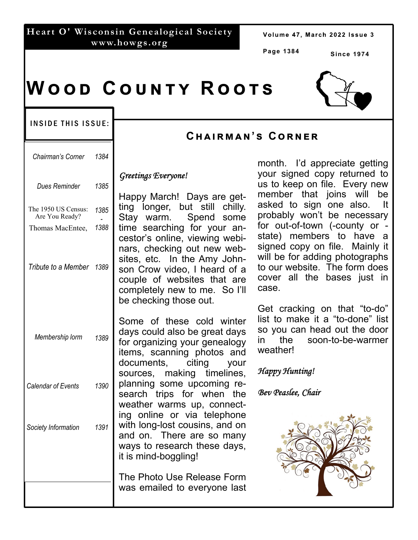#### **Heart O' Wisconsin Genealogical Society www.howgs.org**

Volume 47, March 2022 Issue 3

**Page 1384** 

**Since 1974** 

# $W$  O O D  $C$  O U N T Y  $R$  O O T S

#### INSIDE THIS ISSUE:

| Chairman's Corner                                         | 1384         |                                                                                                                                                    |
|-----------------------------------------------------------|--------------|----------------------------------------------------------------------------------------------------------------------------------------------------|
| <b>Dues Reminder</b>                                      | 1385         | Greetings Ev                                                                                                                                       |
| The 1950 US Census:<br>Are You Ready?<br>Thomas MacEntee, | 1385<br>1388 | Happy Ma<br>ting longe<br>Stay warr<br>time seard<br>cestor's or<br>nars, chec<br>sites, etc.<br>son Crow<br>couple of<br>completely<br>be checkin |
| Tribute to a Member 1389                                  |              |                                                                                                                                                    |
| Membership lorm 1389                                      |              | Some of<br>days could<br>for organiz<br>items, sca<br>documents                                                                                    |
| Calendar of Events                                        | 1390         | sources,<br>planning s<br>search tri                                                                                                               |
| Society Information                                       | 1391         | weather w<br>ing online<br>with long-k<br>and on.<br>J.<br>ways to re<br>it is mind-b                                                              |
|                                                           |              | The Photo<br>was email                                                                                                                             |
|                                                           |              |                                                                                                                                                    |

### **Cඐඉඑකඕඉඖ'ඛ Cකඖඍක**

### *Greetings Everyone!*

rch! Days are geter. but still chilly. m. Spend some thing for your annline, viewing webiking out new web-In the Amy Johnvideo. I heard of a websites that are new to me. So I'll g those out.

these cold winter also be great days ing your genealogy anning photos and s, citing your making timelines, ome upcoming reps for when the arms up, connector via telephone ost cousins, and on There are so many search these days, ioggling!

> Use Release Form ed to everyone last

month. I'd appreciate getting your signed copy returned to us to keep on file. Every new member that joins will be asked to sign one also. It probably won't be necessary for out-of-town (-county or state) members to have a signed copy on file. Mainly it will be for adding photographs to our website. The form does cover all the bases just in case.

Get cracking on that "to-do" list to make it a "to-done" list so you can head out the door in the soon-to-be-warmer weather!

### *Happy Hunting!*

### *Bev Peaslee, Chair*

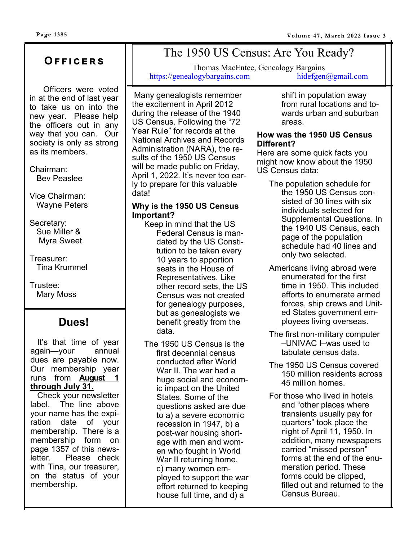### **Oඎඎඑඋඍකඛ**

 Officers were voted in at the end of last year to take us on into the new year. Please help the officers out in any way that you can. Our society is only as strong as its members.

Chairman: Bev Peaslee

Vice Chairman: Wayne Peters

Secretary: Sue Miller & Myra Sweet

Treasurer: Tina Krummel

Trustee: Mary Moss

### **Dues!**

 It's that time of year again—your annual dues are payable now. Our membership year runs from **August 1 through July 31.** 

 Check your newsletter label. The line above your name has the expiration date of your membership. There is a membership form on page 1357 of this newsletter. Please check with Tina, our treasurer, on the status of your membership.

# The 1950 US Census: Are You Ready?

Thomas MacEntee, Genealogy Bargains https://genealogybargains.com hidefgen@gmail.com

Many genealogists remember the excitement in April 2012 during the release of the 1940 US Census. Following the "72 Year Rule" for records at the National Archives and Records Administration (NARA), the results of the 1950 US Census will be made public on Friday, April 1, 2022. It's never too early to prepare for this valuable data!

#### **Why is the 1950 US Census Important?**

- Keep in mind that the US Federal Census is mandated by the US Constitution to be taken every 10 years to apportion seats in the House of Representatives. Like other record sets, the US Census was not created for genealogy purposes, but as genealogists we benefit greatly from the data.
- The 1950 US Census is the first decennial census conducted after World War II. The war had a huge social and economic impact on the United States. Some of the questions asked are due to a) a severe economic recession in 1947, b) a post-war housing shortage with men and women who fought in World War II returning home, c) many women employed to support the war effort returned to keeping house full time, and d) a

shift in population away from rural locations and towards urban and suburban areas.

#### **How was the 1950 US Census Different?**

Here are some quick facts you might now know about the 1950 US Census data:

- The population schedule for the 1950 US Census consisted of 30 lines with six individuals selected for Supplemental Questions. In the 1940 US Census, each page of the population schedule had 40 lines and only two selected.
- Americans living abroad were enumerated for the first time in 1950. This included efforts to enumerate armed forces, ship crews and United States government employees living overseas.
- The first non-military computer –UNIVAC I–was used to tabulate census data.
- The 1950 US Census covered 150 million residents across 45 million homes.
- For those who lived in hotels and "other places where transients usually pay for quarters" took place the night of April 11, 1950. In addition, many newspapers carried "missed person" forms at the end of the enumeration period. These forms could be clipped, filled out and returned to the Census Bureau.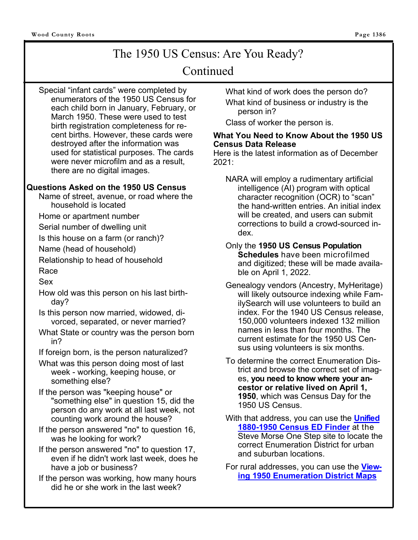## The 1950 US Census: Are You Ready?

### Continued

Special "infant cards" were completed by enumerators of the 1950 US Census for each child born in January, February, or March 1950. These were used to test birth registration completeness for recent births. However, these cards were destroyed after the information was used for statistical purposes. The cards were never microfilm and as a result, there are no digital images.

#### **Questions Asked on the 1950 US Census**

Name of street, avenue, or road where the household is located

Home or apartment number

Serial number of dwelling unit

Is this house on a farm (or ranch)?

Name (head of household)

Relationship to head of household

Race

Sex

- How old was this person on his last birthday?
- Is this person now married, widowed, divorced, separated, or never married?
- What State or country was the person born in?
- If foreign born, is the person naturalized?
- What was this person doing most of last week - working, keeping house, or something else?
- If the person was "keeping house" or "something else" in question 15, did the person do any work at all last week, not counting work around the house?
- If the person answered "no" to question 16, was he looking for work?
- If the person answered "no" to question 17, even if he didn't work last week, does he have a job or business?
- If the person was working, how many hours did he or she work in the last week?

What kind of work does the person do? What kind of business or industry is the person in?

Class of worker the person is.

#### **What You Need to Know About the 1950 US Census Data Release**

Here is the latest information as of December 2021:

NARA will employ a rudimentary artificial intelligence (AI) program with optical character recognition (OCR) to "scan" the hand-written entries. An initial index will be created, and users can submit corrections to build a crowd-sourced index.

Only the **1950 US Census Population Schedules** have been microfilmed and digitized; these will be made available on April 1, 2022.

- Genealogy vendors (Ancestry, MyHeritage) will likely outsource indexing while FamilySearch will use volunteers to build an index. For the 1940 US Census release, 150,000 volunteers indexed 132 million names in less than four months. The current estimate for the 1950 US Census using volunteers is six months.
- To determine the correct Enumeration District and browse the correct set of images, **you need to know where your ancestor or relative lived on April 1, 1950**, which was Census Day for the 1950 US Census.
- With that address, you can use the **Unified 1880-1950 Census ED Finder** at the Steve Morse One Step site to locate the correct Enumeration District for urban and suburban locations.

For rural addresses, you can use the **Viewing 1950 Enumeration District Maps**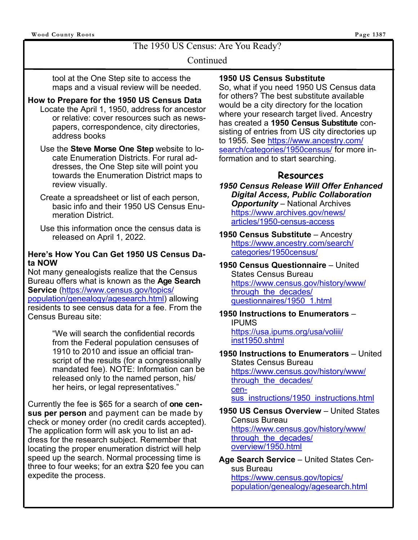The 1950 US Census: Are You Ready?

#### Continued

tool at the One Step site to access the maps and a visual review will be needed.

#### **How to Prepare for the 1950 US Census Data**  Locate the April 1, 1950, address for ancestor or relative: cover resources such as newspapers, correspondence, city directories, address books

- Use the **Steve Morse One Step** website to locate Enumeration Districts. For rural addresses, the One Step site will point you towards the Enumeration District maps to review visually.
- Create a spreadsheet or list of each person, basic info and their 1950 US Census Enumeration District.
- Use this information once the census data is released on April 1, 2022.

#### **Here's How You Can Get 1950 US Census Data NOW**

Not many genealogists realize that the Census Bureau offers what is known as the **Age Search Service** (https://www.census.gov/topics/ population/genealogy/agesearch.html) allowing residents to see census data for a fee. From the Census Bureau site:

> "We will search the confidential records from the Federal population censuses of 1910 to 2010 and issue an official transcript of the results (for a congressionally mandated fee). NOTE: Information can be released only to the named person, his/ her heirs, or legal representatives."

Currently the fee is \$65 for a search of **one census per person** and payment can be made by check or money order (no credit cards accepted). The application form will ask you to list an address for the research subject. Remember that locating the proper enumeration district will help speed up the search. Normal processing time is three to four weeks; for an extra \$20 fee you can expedite the process.

#### **1950 US Census Substitute**

So, what if you need 1950 US Census data for others? The best substitute available would be a city directory for the location where your research target lived. Ancestry has created a **1950 Census Substitute** consisting of entries from US city directories up to 1955. See https://www.ancestry.com/ search/categories/1950census/ for more information and to start searching.

#### **Resources**

*1950 Census Release Will Offer Enhanced Digital Access, Public Collaboration Opportunity* – National Archives https://www.archives.gov/news/ articles/1950-census-access

**1950 Census Substitute** – Ancestry https://www.ancestry.com/search/ categories/1950census/

**1950 Census Questionnaire** – United States Census Bureau https://www.census.gov/history/www/ through the decades/ questionnaires/1950\_1.html

**1950 Instructions to Enumerators** – IPUMS https://usa.ipums.org/usa/voliii/ inst1950.shtml

#### **1950 Instructions to Enumerators** – United States Census Bureau https://www.census.gov/history/www/ through the decades/ census\_instructions/1950\_instructions.html

#### **1950 US Census Overview** – United States Census Bureau https://www.census.gov/history/www/ through the decades/ overview/1950.html

**Age Search Service** – United States Census Bureau https://www.census.gov/topics/ population/genealogy/agesearch.html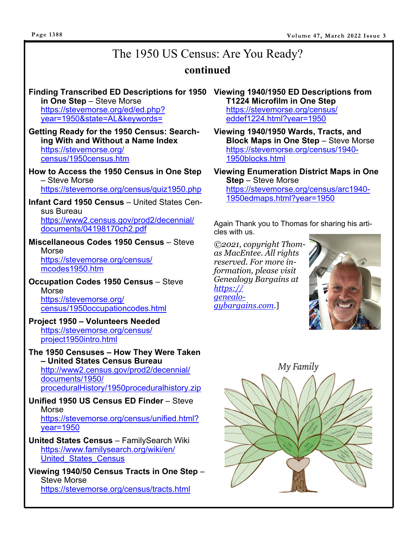#### **Page 1388**

# The 1950 US Census: Are You Ready?

### **continued**

#### **Finding Transcribed ED Descriptions for 1950 Viewing 1940/1950 ED Descriptions from in One Step** – Steve Morse https://stevemorse.org/ed/ed.php?

year=1950&state=AL&keywords=

**Getting Ready for the 1950 Census: Searching With and Without a Name Index** https://stevemorse.org/ census/1950census.htm

**How to Access the 1950 Census in One Step** – Steve Morse https://stevemorse.org/census/quiz1950.php

**Infant Card 1950 Census** – United States Census Bureau https://www2.census.gov/prod2/decennial/ documents/04198170ch2.pdf

**Miscellaneous Codes 1950 Census** – Steve Morse https://stevemorse.org/census/ mcodes1950.htm

**Occupation Codes 1950 Census** – Steve Morse https://stevemorse.org/ census/1950occupationcodes.html

#### **Project 1950 – Volunteers Needed** https://stevemorse.org/census/ project1950intro.html

**The 1950 Censuses – How They Were Taken – United States Census Bureau** http://www2.census.gov/prod2/decennial/ documents/1950/

proceduralHistory/1950proceduralhistory.zip

#### **Unified 1950 US Census ED Finder** – Steve Morse https://stevemorse.org/census/unified.html? year=1950

- **United States Census**  FamilySearch Wiki https://www.familysearch.org/wiki/en/ United\_States\_Census
- **Viewing 1940/50 Census Tracts in One Step** Steve Morse https://stevemorse.org/census/tracts.html

**T1224 Microfilm in One Step** https://stevemorse.org/census/ eddef1224.html?year=1950

**Viewing 1940/1950 Wards, Tracts, and Block Maps in One Step** – Steve Morse https://stevemorse.org/census/1940- 1950blocks.html

**Viewing Enumeration District Maps in One Step** – Steve Morse https://stevemorse.org/census/arc1940- 1950edmaps.html?year=1950

Again Thank you to Thomas for sharing his articles with us.

*©2021, copyright Thomas MacEntee. All rights reserved. For more information, please visit Genealogy Bargains at https:// genealogybargains.com.*]



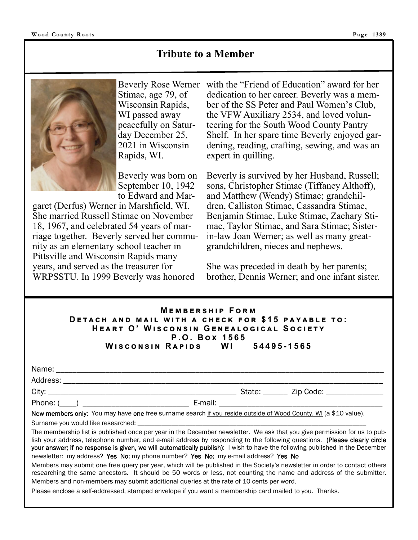### **Tribute to a Member**



Stimac, age 79, of Wisconsin Rapids, WI passed away peacefully on Saturday December 25, 2021 in Wisconsin Rapids, WI.

Beverly was born on September 10, 1942 to Edward and Mar-

garet (Derfus) Werner in Marshfield, WI. She married Russell Stimac on November 18, 1967, and celebrated 54 years of marriage together. Beverly served her community as an elementary school teacher in Pittsville and Wisconsin Rapids many years, and served as the treasurer for WRPSSTU. In 1999 Beverly was honored

Beverly Rose Werner with the "Friend of Education" award for her dedication to her career. Beverly was a member of the SS Peter and Paul Women's Club, the VFW Auxiliary 2534, and loved volunteering for the South Wood County Pantry Shelf. In her spare time Beverly enjoyed gardening, reading, crafting, sewing, and was an expert in quilling.

> Beverly is survived by her Husband, Russell; sons, Christopher Stimac (Tiffaney Althoff), and Matthew (Wendy) Stimac; grandchildren, Calliston Stimac, Cassandra Stimac, Benjamin Stimac, Luke Stimac, Zachary Stimac, Taylor Stimac, and Sara Stimac; Sisterin-law Joan Werner; as well as many greatgrandchildren, nieces and nephews.

> She was preceded in death by her parents; brother, Dennis Werner; and one infant sister.

#### **MEMBERSHIP FORM DETACH AND MAIL WITH A CHECK FOR \$15 PAYABLE TO:**  $HEART$  O' WISCONSIN GENEALOGICAL SOCIETY  $P. O. Box 1565$ **W එඛඋඖඛඑඖ R ඉඑඌඛ WI 54495-1565**

| Name:<br>. |  |
|------------|--|
|            |  |

Address: \_\_\_\_\_\_\_\_\_\_\_\_\_\_\_\_\_\_\_\_\_\_\_\_\_\_\_\_\_\_\_\_\_\_\_\_\_\_\_\_\_\_\_\_\_\_\_\_\_\_\_\_\_\_\_\_\_\_\_\_\_\_\_\_\_\_\_\_\_\_\_\_\_\_\_\_\_\_

Phone: (\_\_\_\_) \_\_\_\_\_\_\_\_\_\_\_\_\_\_\_\_\_\_\_\_\_\_\_\_\_\_ E-mail: \_\_\_\_\_\_\_\_\_\_\_\_\_\_\_\_\_\_\_\_\_\_\_\_\_\_\_\_\_\_\_\_\_\_\_\_\_\_\_\_

City: \_\_\_\_\_\_\_\_\_\_\_\_\_\_\_\_\_\_\_\_\_\_\_\_\_\_\_\_\_\_\_\_\_\_\_\_\_\_\_\_\_\_\_\_\_\_ State: \_\_\_\_\_\_ Zip Code: \_\_\_\_\_\_\_\_\_\_\_\_\_\_

New members only: You may have one free surname search if you reside outside of Wood County, WI (a \$10 value).

Surname you would like researched:

The membership list is published once per year in the December newsletter. We ask that you give permission for us to publish your address, telephone number, and e-mail address by responding to the following questions. (Please clearly circle your answer; if no response is given, we will automatically publish): I wish to have the following published in the December newsletter: my address? Yes No; my phone number? Yes No; my e-mail address? Yes No

Members may submit one free query per year, which will be published in the Society's newsletter in order to contact others researching the same ancestors. It should be 50 words or less, not counting the name and address of the submitter. Members and non-members may submit additional queries at the rate of 10 cents per word.

Please enclose a self-addressed, stamped envelope if you want a membership card mailed to you. Thanks.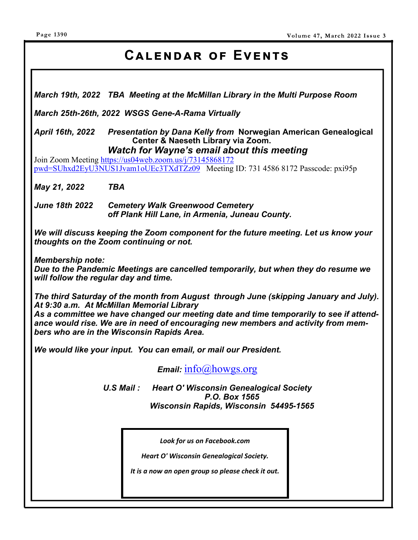# CALENDAR OF EVENTS

*March 19th, 2022 TBA Meeting at the McMillan Library in the Multi Purpose Room* 

*March 25th-26th, 2022 WSGS Gene-A-Rama Virtually* 

*April 16th, 2022 Presentation by Dana Kelly from* **Norwegian American Genealogical Center & Naeseth Library via Zoom.**   *Watch for Wayne's email about this meeting* 

Join Zoom Meeting https://us04web.zoom.us/j/73145868172 pwd=SUhxd2EyU3NUS1Jvam1oUEc3TXdTZz09 Meeting ID: 731 4586 8172 Passcode: pxi95p

*May 21, 2022 TBA* 

*June 18th 2022 Cemetery Walk Greenwood Cemetery off Plank Hill Lane, in Armenia, Juneau County.* 

*We will discuss keeping the Zoom component for the future meeting. Let us know your thoughts on the Zoom continuing or not.* 

*Membership note:* 

*Due to the Pandemic Meetings are cancelled temporarily, but when they do resume we will follow the regular day and time.* 

*The third Saturday of the month from August through June (skipping January and July). At 9:30 a.m. At McMillan Memorial Library* 

*As a committee we have changed our meeting date and time temporarily to see if attendance would rise. We are in need of encouraging new members and activity from members who are in the Wisconsin Rapids Area.* 

*We would like your input. You can email, or mail our President.* 

*Email:* info@howgs.org

*U.S Mail : Heart O' Wisconsin Genealogical Society P.O. Box 1565 Wisconsin Rapids, Wisconsin 54495-1565*

*Look for us on Facebook.com* 

*Heart O' Wisconsin Genealogical Society.* 

*It is a now an open group so please check it out.*